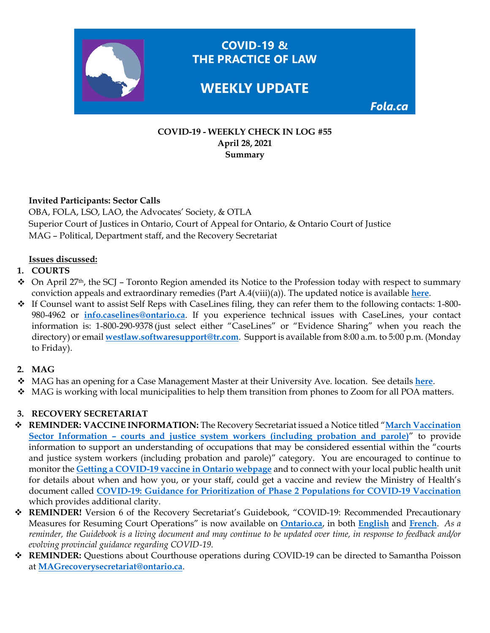

#### **COVID-19 - WEEKLY CHECK IN LOG #55 April 28, 2021 Summary**

### **Invited Participants: Sector Calls**

OBA, FOLA, LSO, LAO, the Advocates' Society, & OTLA Superior Court of Justices in Ontario, Court of Appeal for Ontario, & Ontario Court of Justice MAG – Political, Department staff, and the Recovery Secretariat

#### **Issues discussed:**

#### **1. COURTS**

- $\bullet$  On April 27<sup>th</sup>, the SCJ Toronto Region amended its Notice to the Profession today with respect to summary conviction appeals and extraordinary remedies (Part A.4(viii)(a)). The updated notice is available **[here](https://www.ontariocourts.ca/scj/notices-and-orders-covid-19/notice-to/)**.
- If Counsel want to assist Self Reps with CaseLines filing, they can refer them to the following contacts: 1-800- 980-4962 or **[info.caselines@ontario.ca](mailto:info.caselines@ontario.ca)**. If you experience technical issues with CaseLines, your contact information is: 1-800-290-9378 (just select either "CaseLines" or "Evidence Sharing" when you reach the directory) or email **[westlaw.softwaresupport@tr.com](mailto:westlaw.softwaresupport@tr.com)**. Support is available from 8:00 a.m. to 5:00 p.m. (Monday to Friday).

#### **2. MAG**

- MAG has an opening for a Case Management Master at their University Ave. location. See details **[here](https://fola.ca/jobs)**.
- MAG is working with local municipalities to help them transition from phones to Zoom for all POA matters.

#### **3. RECOVERY SECRETARIAT**

- **REMINDER: VACCINE INFORMATION:** The Recovery Secretariat issued a Notice titled "**[March Vaccination](https://img1.wsimg.com/blobby/go/63f6349d-d85d-4511-bc5f-4314d54b45d0/downloads/Information%20on%20Justice%20Sector%20Occupations%20for%20.pdf?ver=1617788396855)  Sector Information – [courts and justice system workers \(including probation and parole\)](https://img1.wsimg.com/blobby/go/63f6349d-d85d-4511-bc5f-4314d54b45d0/downloads/Information%20on%20Justice%20Sector%20Occupations%20for%20.pdf?ver=1617788396855)**" to provide information to support an understanding of occupations that may be considered essential within the "courts and justice system workers (including probation and parole)" category. You are encouraged to continue to monitor the **[Getting a COVID-19 vaccine in Ontario webpage](https://covid-19.ontario.ca/ontarios-covid-19-vaccination-plan)** and to connect with your local public health unit for details about when and how you, or your staff, could get a vaccine and review the Ministry of Health's document called **[COVID-19: Guidance for Prioritization of Phase 2 Populations for COVID-19 Vaccination](https://www.health.gov.on.ca/en/pro/programs/publichealth/coronavirus/docs/vaccine/COVID-19_Phase_2_vaccination_prioritization.pdf)** which provides additional clarity.
- **REMINDER!** Version 6 of the Recovery Secretariat's Guidebook, "COVID-19: Recommended Precautionary Measures for Resuming Court Operations" is now available on **[Ontario.ca](https://www.ontario.ca/page/covid-19-reopening-courtrooms)**, in both **[English](https://www.ontario.ca/page/covid-19-safety-measures-court-locations#section-0)** and **[French](https://www.ontario.ca/fr/page/covid-19-mesures-sanitaires-dans-les-tribunaux)**. *As a reminder, the Guidebook is a living document and may continue to be updated over time, in response to feedback and/or evolving provincial guidance regarding COVID-19.*
- **REMINDER:** Questions about Courthouse operations during COVID-19 can be directed to Samantha Poisson at **[MAGrecoverysecretariat@ontario.ca](mailto:MAGrecoverysecretariat@ontario.ca)**.